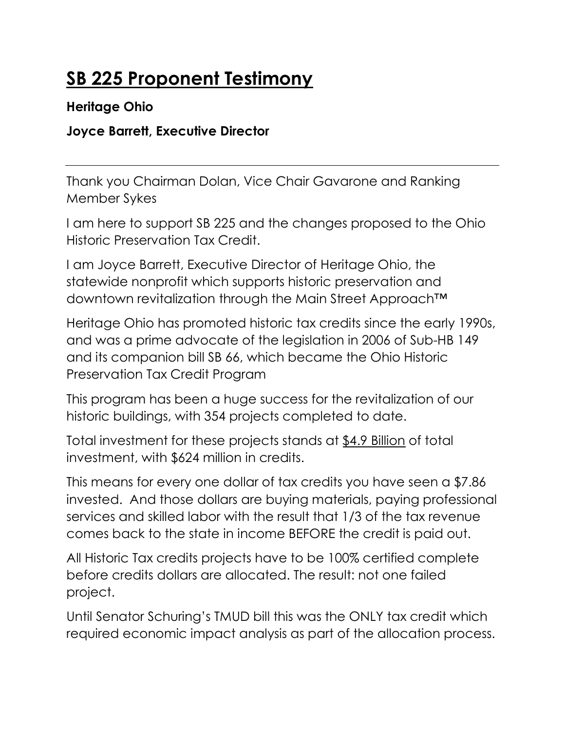# SB 225 Proponent Testimony

#### Heritage Ohio

### Joyce Barrett, Executive Director

Thank you Chairman Dolan, Vice Chair Gavarone and Ranking Member Sykes

I am here to support SB 225 and the changes proposed to the Ohio Historic Preservation Tax Credit.

I am Joyce Barrett, Executive Director of Heritage Ohio, the statewide nonprofit which supports historic preservation and downtown revitalization through the Main Street Approach™

Heritage Ohio has promoted historic tax credits since the early 1990s, and was a prime advocate of the legislation in 2006 of Sub-HB 149 and its companion bill SB 66, which became the Ohio Historic Preservation Tax Credit Program

This program has been a huge success for the revitalization of our historic buildings, with 354 projects completed to date.

Total investment for these projects stands at \$4.9 Billion of total investment, with \$624 million in credits.

This means for every one dollar of tax credits you have seen a \$7.86 invested. And those dollars are buying materials, paying professional services and skilled labor with the result that 1/3 of the tax revenue comes back to the state in income BEFORE the credit is paid out.

All Historic Tax credits projects have to be 100% certified complete before credits dollars are allocated. The result: not one failed project.

Until Senator Schuring's TMUD bill this was the ONLY tax credit which required economic impact analysis as part of the allocation process.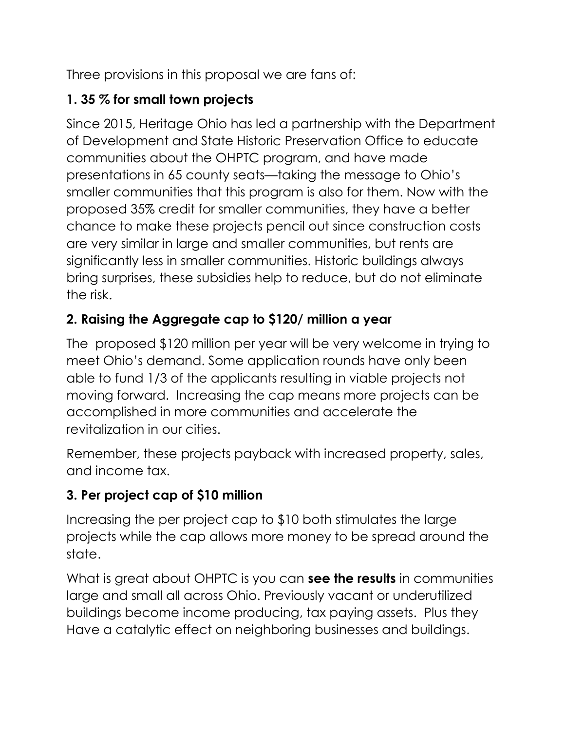Three provisions in this proposal we are fans of:

# 1. 35 % for small town projects

Since 2015, Heritage Ohio has led a partnership with the Department of Development and State Historic Preservation Office to educate communities about the OHPTC program, and have made presentations in 65 county seats—taking the message to Ohio's smaller communities that this program is also for them. Now with the proposed 35% credit for smaller communities, they have a better chance to make these projects pencil out since construction costs are very similar in large and smaller communities, but rents are significantly less in smaller communities. Historic buildings always bring surprises, these subsidies help to reduce, but do not eliminate the risk.

## 2. Raising the Aggregate cap to \$120/ million a year

The proposed \$120 million per year will be very welcome in trying to meet Ohio's demand. Some application rounds have only been able to fund 1/3 of the applicants resulting in viable projects not moving forward. Increasing the cap means more projects can be accomplished in more communities and accelerate the revitalization in our cities.

Remember, these projects payback with increased property, sales, and income tax.

## 3. Per project cap of \$10 million

Increasing the per project cap to \$10 both stimulates the large projects while the cap allows more money to be spread around the state.

What is great about OHPTC is you can see the results in communities large and small all across Ohio. Previously vacant or underutilized buildings become income producing, tax paying assets. Plus they Have a catalytic effect on neighboring businesses and buildings.